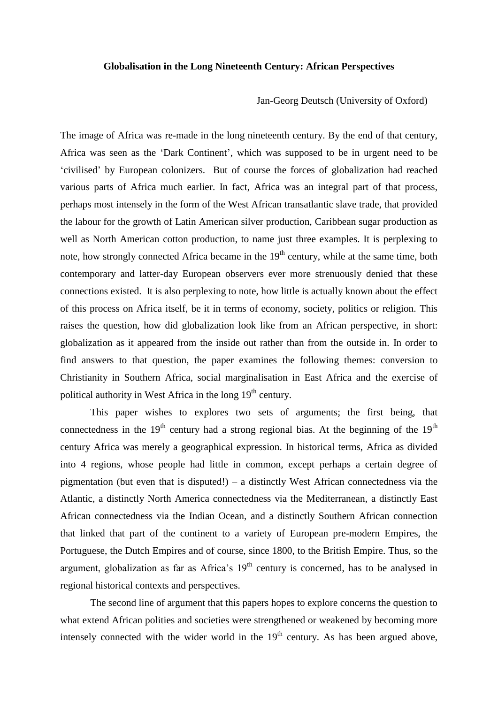## **Globalisation in the Long Nineteenth Century: African Perspectives**

Jan-Georg Deutsch (University of Oxford)

The image of Africa was re-made in the long nineteenth century. By the end of that century, Africa was seen as the 'Dark Continent', which was supposed to be in urgent need to be 'civilised' by European colonizers. But of course the forces of globalization had reached various parts of Africa much earlier. In fact, Africa was an integral part of that process, perhaps most intensely in the form of the West African transatlantic slave trade, that provided the labour for the growth of Latin American silver production, Caribbean sugar production as well as North American cotton production, to name just three examples. It is perplexing to note, how strongly connected Africa became in the 19<sup>th</sup> century, while at the same time, both contemporary and latter-day European observers ever more strenuously denied that these connections existed. It is also perplexing to note, how little is actually known about the effect of this process on Africa itself, be it in terms of economy, society, politics or religion. This raises the question, how did globalization look like from an African perspective, in short: globalization as it appeared from the inside out rather than from the outside in. In order to find answers to that question, the paper examines the following themes: conversion to Christianity in Southern Africa, social marginalisation in East Africa and the exercise of political authority in West Africa in the long 19<sup>th</sup> century.

This paper wishes to explores two sets of arguments; the first being, that connectedness in the  $19<sup>th</sup>$  century had a strong regional bias. At the beginning of the  $19<sup>th</sup>$ century Africa was merely a geographical expression. In historical terms, Africa as divided into 4 regions, whose people had little in common, except perhaps a certain degree of pigmentation (but even that is disputed!) – a distinctly West African connectedness via the Atlantic, a distinctly North America connectedness via the Mediterranean, a distinctly East African connectedness via the Indian Ocean, and a distinctly Southern African connection that linked that part of the continent to a variety of European pre-modern Empires, the Portuguese, the Dutch Empires and of course, since 1800, to the British Empire. Thus, so the argument, globalization as far as Africa's  $19<sup>th</sup>$  century is concerned, has to be analysed in regional historical contexts and perspectives.

The second line of argument that this papers hopes to explore concerns the question to what extend African polities and societies were strengthened or weakened by becoming more intensely connected with the wider world in the  $19<sup>th</sup>$  century. As has been argued above,